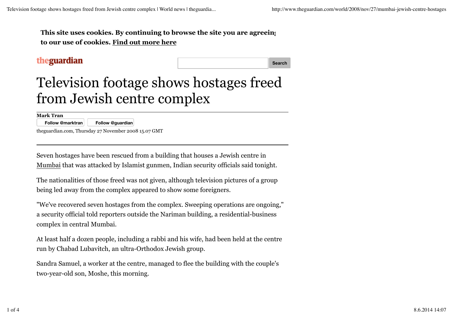**This site uses cookies. By continuing to browse the site you are agreeing to our use of cookies. Find out more here**

## theguardian

**Search**

## Television footage shows hostages freed from Jewish centre complex

**Mark Tran**

**Follow @marktran Follow @guardian**

theguardian.com, Thursday 27 November 2008 15.07 GMT

Seven hostages have been rescued from a building that houses a Jewish centre in Mumbai that was attacked by Islamist gunmen, Indian security officials said tonight.

The nationalities of those freed was not given, although television pictures of a group being led away from the complex appeared to show some foreigners.

"We've recovered seven hostages from the complex. Sweeping operations are ongoing," a security official told reporters outside the Nariman building, a residential-business complex in central Mumbai.

At least half a dozen people, including a rabbi and his wife, had been held at the centre run by Chabad Lubavitch, an ultra-Orthodox Jewish group.

Sandra Samuel, a worker at the centre, managed to flee the building with the couple's two-year-old son, Moshe, this morning.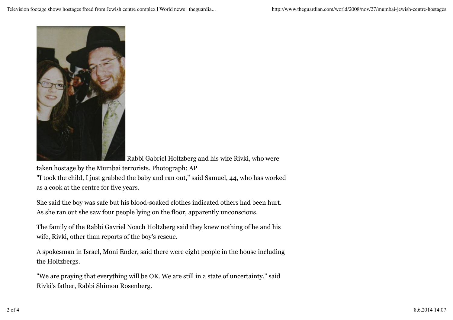

Rabbi Gabriel Holtzberg and his wife Rivki, who were

taken hostage by the Mumbai terrorists. Photograph: AP "I took the child, I just grabbed the baby and ran out," said Samuel, 44, who has worked as a cook at the centre for five years.

She said the boy was safe but his blood-soaked clothes indicated others had been hurt. As she ran out she saw four people lying on the floor, apparently unconscious.

The family of the Rabbi Gavriel Noach Holtzberg said they knew nothing of he and his wife, Rivki, other than reports of the boy's rescue.

A spokesman in Israel, Moni Ender, said there were eight people in the house including the Holtzbergs.

"We are praying that everything will be OK. We are still in a state of uncertainty," said Rivki's father, Rabbi Shimon Rosenberg.